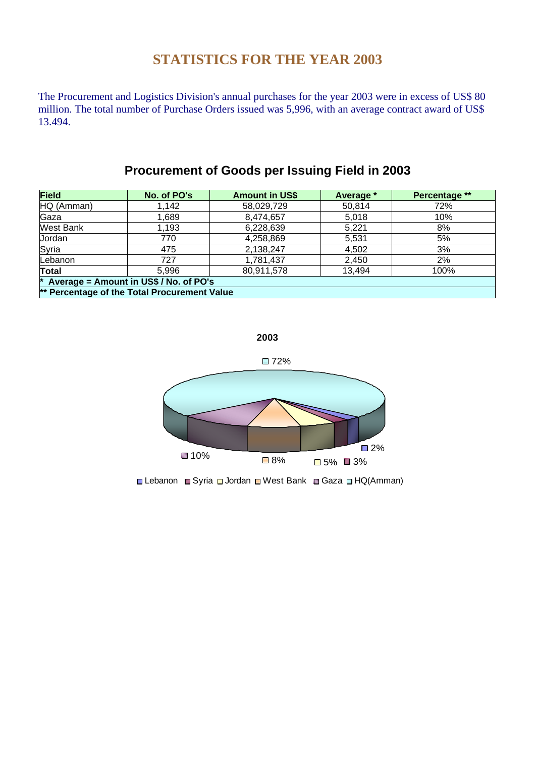## **STATISTICS FOR THE YEAR 2003**

The Procurement and Logistics Division's annual purchases for the year 2003 were in excess of US\$ 80 million. The total number of Purchase Orders issued was 5,996, with an average contract award of US\$ 13.494.

## **Procurement of Goods per Issuing Field in 2003**

| <b>Field</b>                                 | No. of PO's | <b>Amount in US\$</b> | Average * | Percentage ** |  |
|----------------------------------------------|-------------|-----------------------|-----------|---------------|--|
| HQ (Amman)                                   | 1,142       | 58,029,729            | 50,814    | 72%           |  |
| Gaza                                         | 1,689       | 8,474,657             | 5,018     | 10%           |  |
| <b>West Bank</b>                             | 1,193       | 6,228,639             | 5,221     | 8%            |  |
| Jordan                                       | 770         | 4,258,869             | 5,531     | 5%            |  |
| Syria                                        | 475         | 2,138,247             | 4,502     | 3%            |  |
| Lebanon                                      | 727         | 1,781,437             | 2,450     | 2%            |  |
| Total                                        | 5.996       | 80,911,578            | 13,494    | 100%          |  |
| * Average = Amount in US\$ / No. of PO's     |             |                       |           |               |  |
| ** Percentage of the Total Procurement Value |             |                       |           |               |  |



**■ Lebanon ■ Syria ■ Jordan ■ West Bank ■ Gaza ■ HQ(Amman)**